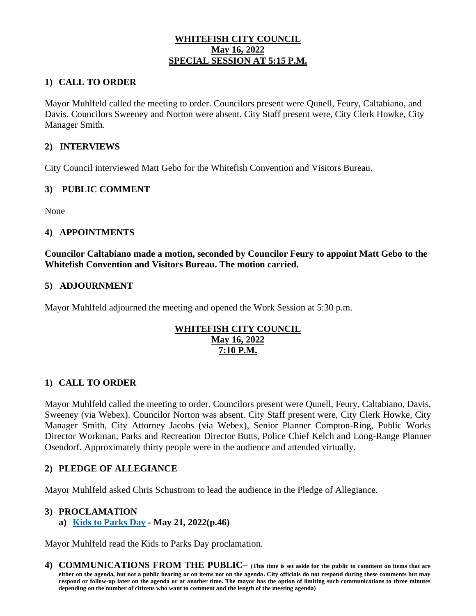# **WHITEFISH CITY COUNCIL May 16, 2022 SPECIAL SESSION AT 5:15 P.M.**

# **1) CALL TO ORDER**

Mayor Muhlfeld called the meeting to order. Councilors present were Qunell, Feury, Caltabiano, and Davis. Councilors Sweeney and Norton were absent. City Staff present were, City Clerk Howke, City Manager Smith.

# **2) INTERVIEWS**

City Council interviewed Matt Gebo for the Whitefish Convention and Visitors Bureau.

#### **3) PUBLIC COMMENT**

None

## **4) APPOINTMENTS**

**Councilor Caltabiano made a motion, seconded by Councilor Feury to appoint Matt Gebo to the Whitefish Convention and Visitors Bureau. The motion carried.** 

#### **5) ADJOURNMENT**

Mayor Muhlfeld adjourned the meeting and opened the Work Session at 5:30 p.m.

# **WHITEFISH CITY COUNCIL May 16, 2022 7:10 P.M.**

# **1) CALL TO ORDER**

Mayor Muhlfeld called the meeting to order. Councilors present were Qunell, Feury, Caltabiano, Davis, Sweeney (via Webex). Councilor Norton was absent. City Staff present were, City Clerk Howke, City Manager Smith, City Attorney Jacobs (via Webex), Senior Planner Compton-Ring, Public Works Director Workman, Parks and Recreation Director Butts, Police Chief Kelch and Long-Range Planner Osendorf. Approximately thirty people were in the audience and attended virtually.

# **2) PLEDGE OF ALLEGIANCE**

Mayor Muhlfeld asked Chris Schustrom to lead the audience in the Pledge of Allegiance.

#### **3) PROCLAMATION**

**a) [Kids to Parks Day](https://cityofwhitefishmt.sharepoint.com/:b:/g/documents/EX0qYOBLqh9Aiapm1xe2sRYBGn7svG26itRdc_N3dhIdfw?e=0qooGi) - May 21, 2022(p.46)**

Mayor Muhlfeld read the Kids to Parks Day proclamation.

**4) COMMUNICATIONS FROM THE PUBLIC– (This time is set aside for the public to comment on items that are either on the agenda, but not a public hearing or on items not on the agenda. City officials do not respond during these comments but may respond or follow-up later on the agenda or at another time. The mayor has the option of limiting such communications to three minutes depending on the number of citizens who want to comment and the length of the meeting agenda)**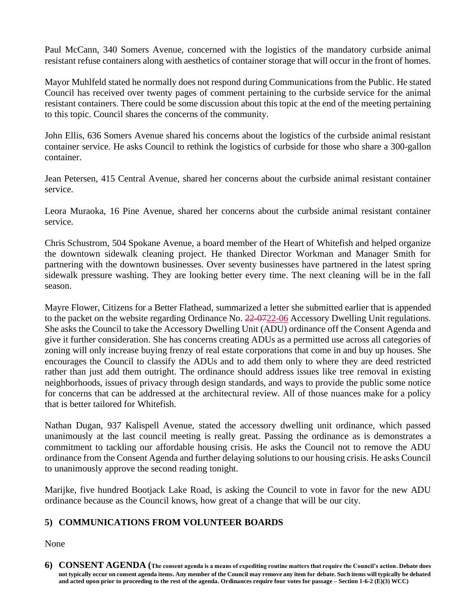Paul McCann, 340 Somers Avenue, concerned with the logistics of the mandatory curbside animal resistant refuse containers along with aesthetics of container storage that will occur in the front of homes.

Mayor Muhlfeld stated he normally does not respond during Communications from the Public. He stated Council has received over twenty pages of comment pertaining to the curbside service for the animal resistant containers. There could be some discussion about this topic at the end of the meeting pertaining to this topic. Council shares the concerns of the community.

John Ellis, 636 Somers Avenue shared his concerns about the logistics of the curbside animal resistant container service. He asks Council to rethink the logistics of curbside for those who share a 300-gallon container.

Jean Petersen, 415 Central Avenue, shared her concerns about the curbside animal resistant container service.

Leora Muraoka, 16 Pine Avenue, shared her concerns about the curbside animal resistant container service.

Chris Schustrom, 504 Spokane Avenue, a board member of the Heart of Whitefish and helped organize the downtown sidewalk cleaning project. He thanked Director Workman and Manager Smith for partnering with the downtown businesses. Over seventy businesses have partnered in the latest spring sidewalk pressure washing. They are looking better every time. The next cleaning will be in the fall season.

Mayre Flower, Citizens for a Better Flathead, summarized a letter she submitted earlier that is appended to the packet on the website regarding Ordinance No. 22-0722-06 Accessory Dwelling Unit regulations. She asks the Council to take the Accessory Dwelling Unit (ADU) ordinance off the Consent Agenda and give it further consideration. She has concerns creating ADUs as a permitted use across all categories of zoning will only increase buying frenzy of real estate corporations that come in and buy up houses. She encourages the Council to classify the ADUs and to add them only to where they are deed restricted rather than just add them outright. The ordinance should address issues like tree removal in existing neighborhoods, issues of privacy through design standards, and ways to provide the public some notice for concerns that can be addressed at the architectural review. All of those nuances make for a policy that is better tailored for Whitefish.

Nathan Dugan, 937 Kalispell Avenue, stated the accessory dwelling unit ordinance, which passed unanimously at the last council meeting is really great. Passing the ordinance as is demonstrates a commitment to tackling our affordable housing crisis. He asks the Council not to remove the ADU ordinance from the Consent Agenda and further delaying solutions to our housing crisis. He asks Council to unanimously approve the second reading tonight.

Marijke, five hundred Bootjack Lake Road, is asking the Council to vote in favor for the new ADU ordinance because as the Council knows, how great of a change that will be our city.

# **5) COMMUNICATIONS FROM VOLUNTEER BOARDS**

None

**6) CONSENT AGENDA (The consent agenda is a means of expediting routine matters that require the Council's action. Debate does not typically occur on consent agenda items. Any member of the Council may remove any item for debate. Such items will typically be debated and acted upon prior to proceeding to the rest of the agenda. Ordinances require four votes for passage – Section 1-6-2 (E)(3) WCC)**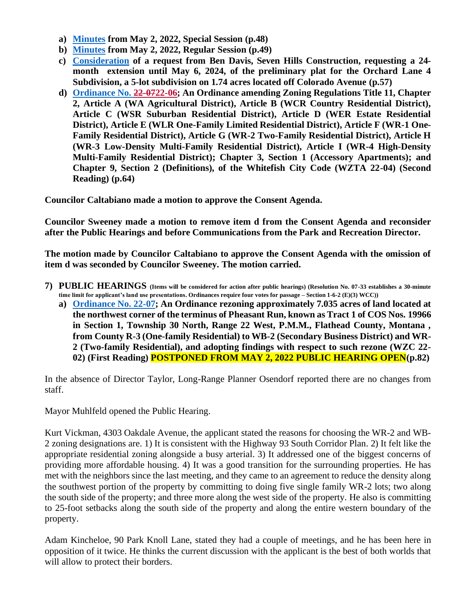- **a) [Minutes](https://cityofwhitefishmt.sharepoint.com/:b:/g/documents/EeX19O05YKpBrWyFq5EBqvMBf2NqGcY0UqIj6Y0KRcRpgA?e=KwYIqB) from May 2, 2022, Special Session (p.48)**
- **b) [Minutes](https://cityofwhitefishmt.sharepoint.com/:b:/g/documents/EW0cQ_T9nc5NggLc-f2etyYBA69pSEU9IGZm-6EGnY32qw?e=ZnvygR) from May 2, 2022, Regular Session (p.49)**
- **c) [Consideration](https://cityofwhitefishmt.sharepoint.com/:b:/g/documents/Ef6cwokpl0hHuk1Pv7FE8r4BlgMnr6GirOwP1xyXIwDNWA?e=G6AQcX) of a request from Ben Davis, Seven Hills Construction, requesting a 24 month extension until May 6, 2024, of the preliminary plat for the Orchard Lane 4 Subdivision, a 5-lot subdivision on 1.74 acres located off Colorado Avenue (p.57)**
- **d) [Ordinance No. 22-0722-06;](https://cityofwhitefishmt.sharepoint.com/:b:/g/documents/EcWXTHdutapMg5SkaCNeL_wBoMhbaRZCkrbrpur6C6fIMA?e=nDumqK) An Ordinance amending Zoning Regulations Title 11, Chapter 2, Article A (WA Agricultural District), Article B (WCR Country Residential District), Article C (WSR Suburban Residential District), Article D (WER Estate Residential District), Article E (WLR One-Family Limited Residential District), Article F (WR-1 One-Family Residential District), Article G (WR-2 Two-Family Residential District), Article H (WR-3 Low-Density Multi-Family Residential District), Article I (WR-4 High-Density Multi-Family Residential District); Chapter 3, Section 1 (Accessory Apartments); and Chapter 9, Section 2 (Definitions), of the Whitefish City Code (WZTA 22-04) (Second Reading) (p.64)**

**Councilor Caltabiano made a motion to approve the Consent Agenda.** 

**Councilor Sweeney made a motion to remove item d from the Consent Agenda and reconsider after the Public Hearings and before Communications from the Park and Recreation Director.** 

**The motion made by Councilor Caltabiano to approve the Consent Agenda with the omission of item d was seconded by Councilor Sweeney. The motion carried.** 

- **7) PUBLIC HEARINGS (Items will be considered for action after public hearings) (Resolution No. 07-33 establishes a 30-minute time limit for applicant's land use presentations. Ordinances require four votes for passage – Section 1-6-2 (E)(3) WCC))**
	- **a) [Ordinance No. 22-0](https://cityofwhitefishmt.sharepoint.com/:b:/g/documents/EQOv4s8jWMBAh4xRAOLsnP4BSoLkXhY3kk9hEiCtTkQzMA?e=HPNRsA)7; An Ordinance rezoning approximately 7.035 acres of land located at the northwest corner of the terminus of Pheasant Run, known as Tract 1 of COS Nos. 19966 in Section 1, Township 30 North, Range 22 West, P.M.M., Flathead County, Montana , from County R-3 (One-family Residential) to WB-2 (Secondary Business District) and WR-2 (Two-family Residential), and adopting findings with respect to such rezone (WZC 22- 02) (First Reading) POSTPONED FROM MAY 2, 2022 PUBLIC HEARING OPEN(p.82)**

In the absence of Director Taylor, Long-Range Planner Osendorf reported there are no changes from staff.

Mayor Muhlfeld opened the Public Hearing.

Kurt Vickman, 4303 Oakdale Avenue, the applicant stated the reasons for choosing the WR-2 and WB-2 zoning designations are. 1) It is consistent with the Highway 93 South Corridor Plan. 2) It felt like the appropriate residential zoning alongside a busy arterial. 3) It addressed one of the biggest concerns of providing more affordable housing. 4) It was a good transition for the surrounding properties. He has met with the neighbors since the last meeting, and they came to an agreement to reduce the density along the southwest portion of the property by committing to doing five single family WR-2 lots; two along the south side of the property; and three more along the west side of the property. He also is committing to 25-foot setbacks along the south side of the property and along the entire western boundary of the property.

Adam Kincheloe, 90 Park Knoll Lane, stated they had a couple of meetings, and he has been here in opposition of it twice. He thinks the current discussion with the applicant is the best of both worlds that will allow to protect their borders.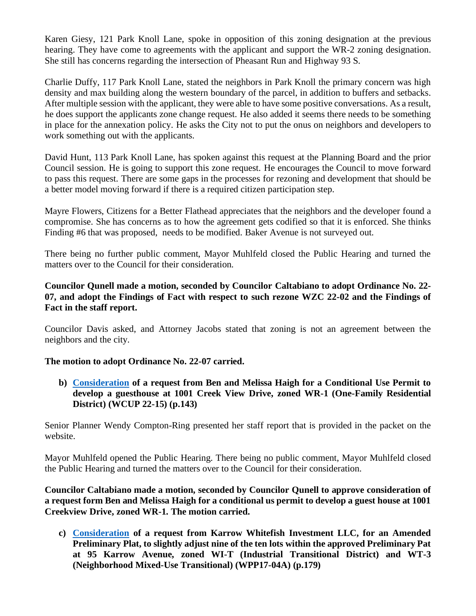Karen Giesy, 121 Park Knoll Lane, spoke in opposition of this zoning designation at the previous hearing. They have come to agreements with the applicant and support the WR-2 zoning designation. She still has concerns regarding the intersection of Pheasant Run and Highway 93 S.

Charlie Duffy, 117 Park Knoll Lane, stated the neighbors in Park Knoll the primary concern was high density and max building along the western boundary of the parcel, in addition to buffers and setbacks. After multiple session with the applicant, they were able to have some positive conversations. As a result, he does support the applicants zone change request. He also added it seems there needs to be something in place for the annexation policy. He asks the City not to put the onus on neighbors and developers to work something out with the applicants.

David Hunt, 113 Park Knoll Lane, has spoken against this request at the Planning Board and the prior Council session. He is going to support this zone request. He encourages the Council to move forward to pass this request. There are some gaps in the processes for rezoning and development that should be a better model moving forward if there is a required citizen participation step.

Mayre Flowers, Citizens for a Better Flathead appreciates that the neighbors and the developer found a compromise. She has concerns as to how the agreement gets codified so that it is enforced. She thinks Finding #6 that was proposed, needs to be modified. Baker Avenue is not surveyed out.

There being no further public comment, Mayor Muhlfeld closed the Public Hearing and turned the matters over to the Council for their consideration.

# **Councilor Qunell made a motion, seconded by Councilor Caltabiano to adopt Ordinance No. 22- 07, and adopt the Findings of Fact with respect to such rezone WZC 22-02 and the Findings of Fact in the staff report.**

Councilor Davis asked, and Attorney Jacobs stated that zoning is not an agreement between the neighbors and the city.

# **The motion to adopt Ordinance No. 22-07 carried.**

**b) [Consideration](https://cityofwhitefishmt.sharepoint.com/:b:/g/documents/Ef_UbmF1ah5GmhRGBJVw2hkB9yxdf9K0FmU3bzgu7Pv82A?e=APDkeI) of a request from Ben and Melissa Haigh for a Conditional Use Permit to develop a guesthouse at 1001 Creek View Drive, zoned WR-1 (One-Family Residential District) (WCUP 22-15) (p.143)**

Senior Planner Wendy Compton-Ring presented her staff report that is provided in the packet on the website.

Mayor Muhlfeld opened the Public Hearing. There being no public comment, Mayor Muhlfeld closed the Public Hearing and turned the matters over to the Council for their consideration.

**Councilor Caltabiano made a motion, seconded by Councilor Qunell to approve consideration of a request form Ben and Melissa Haigh for a conditional us permit to develop a guest house at 1001 Creekview Drive, zoned WR-1. The motion carried.** 

**c) [Consideration](https://cityofwhitefishmt.sharepoint.com/:b:/g/documents/EUVcAtQ55CdNhM6AQVHAvvEBaSaEasaK3PN6LIM8fu5E_w?e=48Rqtv) of a request from Karrow Whitefish Investment LLC, for an Amended Preliminary Plat, to slightly adjust nine of the ten lots within the approved Preliminary Pat at 95 Karrow Avenue, zoned WI-T (Industrial Transitional District) and WT-3 (Neighborhood Mixed-Use Transitional) (WPP17-04A) (p.179)**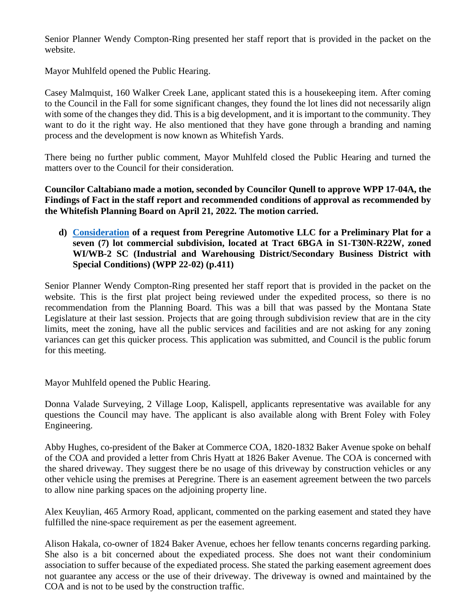Senior Planner Wendy Compton-Ring presented her staff report that is provided in the packet on the website.

Mayor Muhlfeld opened the Public Hearing.

Casey Malmquist, 160 Walker Creek Lane, applicant stated this is a housekeeping item. After coming to the Council in the Fall for some significant changes, they found the lot lines did not necessarily align with some of the changes they did. This is a big development, and it is important to the community. They want to do it the right way. He also mentioned that they have gone through a branding and naming process and the development is now known as Whitefish Yards.

There being no further public comment, Mayor Muhlfeld closed the Public Hearing and turned the matters over to the Council for their consideration.

**Councilor Caltabiano made a motion, seconded by Councilor Qunell to approve WPP 17-04A, the Findings of Fact in the staff report and recommended conditions of approval as recommended by the Whitefish Planning Board on April 21, 2022. The motion carried.** 

# **d) [Consideration](https://cityofwhitefishmt.sharepoint.com/:b:/g/documents/ES_xGluUU2BAl2GRI2plHq0BCq1LInG0dOqStzHO4VG0lA?e=o5zA0F) of a request from Peregrine Automotive LLC for a Preliminary Plat for a seven (7) lot commercial subdivision, located at Tract 6BGA in S1-T30N-R22W, zoned WI/WB-2 SC (Industrial and Warehousing District/Secondary Business District with Special Conditions) (WPP 22-02) (p.411)**

Senior Planner Wendy Compton-Ring presented her staff report that is provided in the packet on the website. This is the first plat project being reviewed under the expedited process, so there is no recommendation from the Planning Board. This was a bill that was passed by the Montana State Legislature at their last session. Projects that are going through subdivision review that are in the city limits, meet the zoning, have all the public services and facilities and are not asking for any zoning variances can get this quicker process. This application was submitted, and Council is the public forum for this meeting.

Mayor Muhlfeld opened the Public Hearing.

Donna Valade Surveying, 2 Village Loop, Kalispell, applicants representative was available for any questions the Council may have. The applicant is also available along with Brent Foley with Foley Engineering.

Abby Hughes, co-president of the Baker at Commerce COA, 1820-1832 Baker Avenue spoke on behalf of the COA and provided a letter from Chris Hyatt at 1826 Baker Avenue. The COA is concerned with the shared driveway. They suggest there be no usage of this driveway by construction vehicles or any other vehicle using the premises at Peregrine. There is an easement agreement between the two parcels to allow nine parking spaces on the adjoining property line.

Alex Keuylian, 465 Armory Road, applicant, commented on the parking easement and stated they have fulfilled the nine-space requirement as per the easement agreement.

Alison Hakala, co-owner of 1824 Baker Avenue, echoes her fellow tenants concerns regarding parking. She also is a bit concerned about the expediated process. She does not want their condominium association to suffer because of the expediated process. She stated the parking easement agreement does not guarantee any access or the use of their driveway. The driveway is owned and maintained by the COA and is not to be used by the construction traffic.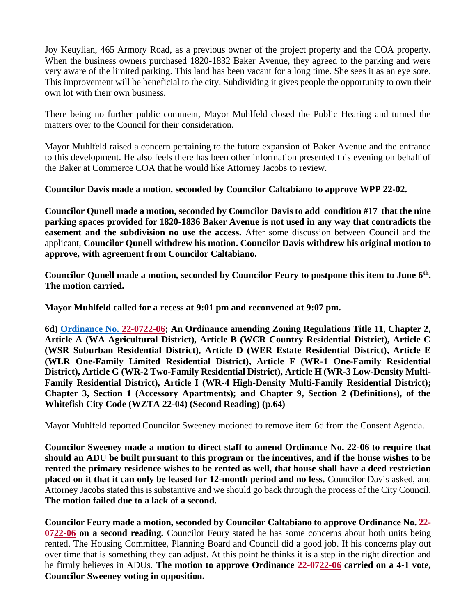Joy Keuylian, 465 Armory Road, as a previous owner of the project property and the COA property. When the business owners purchased 1820-1832 Baker Avenue, they agreed to the parking and were very aware of the limited parking. This land has been vacant for a long time. She sees it as an eye sore. This improvement will be beneficial to the city. Subdividing it gives people the opportunity to own their own lot with their own business.

There being no further public comment, Mayor Muhlfeld closed the Public Hearing and turned the matters over to the Council for their consideration.

Mayor Muhlfeld raised a concern pertaining to the future expansion of Baker Avenue and the entrance to this development. He also feels there has been other information presented this evening on behalf of the Baker at Commerce COA that he would like Attorney Jacobs to review.

**Councilor Davis made a motion, seconded by Councilor Caltabiano to approve WPP 22-02.** 

**Councilor Qunell made a motion, seconded by Councilor Davis to add condition #17 that the nine parking spaces provided for 1820-1836 Baker Avenue is not used in any way that contradicts the easement and the subdivision no use the access.** After some discussion between Council and the applicant, **Councilor Qunell withdrew his motion. Councilor Davis withdrew his original motion to approve, with agreement from Councilor Caltabiano.** 

**Councilor Qunell made a motion, seconded by Councilor Feury to postpone this item to June 6th . The motion carried.** 

**Mayor Muhlfeld called for a recess at 9:01 pm and reconvened at 9:07 pm.**

**6d) [Ordinance No. 22-0722-06;](https://cityofwhitefishmt.sharepoint.com/:b:/g/documents/EcWXTHdutapMg5SkaCNeL_wBoMhbaRZCkrbrpur6C6fIMA?e=nDumqK) An Ordinance amending Zoning Regulations Title 11, Chapter 2, Article A (WA Agricultural District), Article B (WCR Country Residential District), Article C (WSR Suburban Residential District), Article D (WER Estate Residential District), Article E (WLR One-Family Limited Residential District), Article F (WR-1 One-Family Residential District), Article G (WR-2 Two-Family Residential District), Article H (WR-3 Low-Density Multi-Family Residential District), Article I (WR-4 High-Density Multi-Family Residential District); Chapter 3, Section 1 (Accessory Apartments); and Chapter 9, Section 2 (Definitions), of the Whitefish City Code (WZTA 22-04) (Second Reading) (p.64)**

Mayor Muhlfeld reported Councilor Sweeney motioned to remove item 6d from the Consent Agenda.

**Councilor Sweeney made a motion to direct staff to amend Ordinance No. 22-06 to require that should an ADU be built pursuant to this program or the incentives, and if the house wishes to be rented the primary residence wishes to be rented as well, that house shall have a deed restriction placed on it that it can only be leased for 12-month period and no less.** Councilor Davis asked, and Attorney Jacobs stated this is substantive and we should go back through the process of the City Council. **The motion failed due to a lack of a second.** 

**Councilor Feury made a motion, seconded by Councilor Caltabiano to approve Ordinance No. 22- 0722-06 on a second reading.** Councilor Feury stated he has some concerns about both units being rented. The Housing Committee, Planning Board and Council did a good job. If his concerns play out over time that is something they can adjust. At this point he thinks it is a step in the right direction and he firmly believes in ADUs. **The motion to approve Ordinance 22-0722-06 carried on a 4-1 vote, Councilor Sweeney voting in opposition.**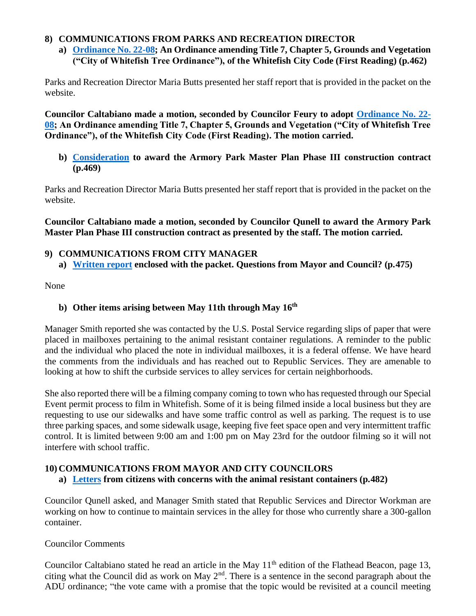# **8) COMMUNICATIONS FROM PARKS AND RECREATION DIRECTOR**

**a) [Ordinance No. 22-0](https://cityofwhitefishmt.sharepoint.com/:b:/g/documents/EeJHfKH7x6BFjYOGczvdGG8B-jtEpDt1C2qyOtHgO6tJlg?e=PddjpR)8; An Ordinance amending Title 7, Chapter 5, Grounds and Vegetation ("City of Whitefish Tree Ordinance"), of the Whitefish City Code (First Reading) (p.462)**

Parks and Recreation Director Maria Butts presented her staff report that is provided in the packet on the website.

**Councilor Caltabiano made a motion, seconded by Councilor Feury to adopt [Ordinance No. 22-](https://cityofwhitefishmt.sharepoint.com/:b:/g/documents/EeJHfKH7x6BFjYOGczvdGG8B-jtEpDt1C2qyOtHgO6tJlg?e=PddjpR) 08; An Ordinance amending Title 7, Chapter 5, Grounds and Vegetation ("City of Whitefish Tree Ordinance"), of the Whitefish City Code (First Reading). The motion carried.** 

**b) [Consideration](https://cityofwhitefishmt.sharepoint.com/:b:/g/documents/EX5rkF4xwxZCi5X-DoJgNdsBmRYaZOw7d3yMx5VvzuMgqg?e=1eYSDu) to award the Armory Park Master Plan Phase III construction contract (p.469)**

Parks and Recreation Director Maria Butts presented her staff report that is provided in the packet on the website.

**Councilor Caltabiano made a motion, seconded by Councilor Qunell to award the Armory Park Master Plan Phase III construction contract as presented by the staff. The motion carried.** 

- **9) COMMUNICATIONS FROM CITY MANAGER**
	- **a) [Written report](https://cityofwhitefishmt.sharepoint.com/:b:/g/documents/EdzCoADj02NAgPyKmyDWJkwBHfL71_WrrV3owzQgAJSf2Q?e=4kkddA) enclosed with the packet. Questions from Mayor and Council? (p.475)**

None

# **b) Other items arising between May 11th through May 16th**

Manager Smith reported she was contacted by the U.S. Postal Service regarding slips of paper that were placed in mailboxes pertaining to the animal resistant container regulations. A reminder to the public and the individual who placed the note in individual mailboxes, it is a federal offense. We have heard the comments from the individuals and has reached out to Republic Services. They are amenable to looking at how to shift the curbside services to alley services for certain neighborhoods.

She also reported there will be a filming company coming to town who has requested through our Special Event permit process to film in Whitefish. Some of it is being filmed inside a local business but they are requesting to use our sidewalks and have some traffic control as well as parking. The request is to use three parking spaces, and some sidewalk usage, keeping five feet space open and very intermittent traffic control. It is limited between 9:00 am and 1:00 pm on May 23rd for the outdoor filming so it will not interfere with school traffic.

# **10) COMMUNICATIONS FROM MAYOR AND CITY COUNCILORS**

**a) [Letters](https://cityofwhitefishmt.sharepoint.com/:b:/g/documents/ERq9iUhJ6DtGlH67S1NyNLQBB3cvZLCtp-SENg-7-_wCmg?e=DDyvY1) from citizens with concerns with the animal resistant containers (p.482)**

Councilor Qunell asked, and Manager Smith stated that Republic Services and Director Workman are working on how to continue to maintain services in the alley for those who currently share a 300-gallon container.

# Councilor Comments

Councilor Caltabiano stated he read an article in the May  $11<sup>th</sup>$  edition of the Flathead Beacon, page 13, citing what the Council did as work on May  $2<sup>nd</sup>$ . There is a sentence in the second paragraph about the ADU ordinance; "the vote came with a promise that the topic would be revisited at a council meeting